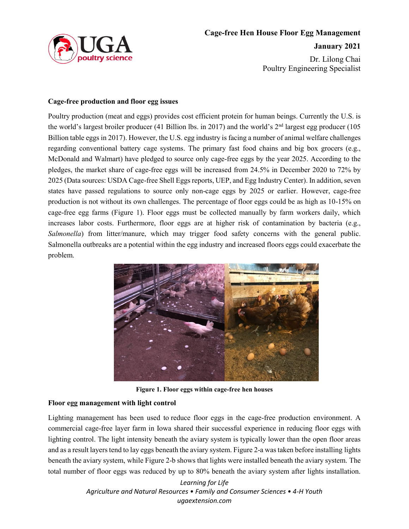

Dr. Lilong Chai Poultry Engineering Specialist

## **Cage-free production and floor egg issues**

Poultry production (meat and eggs) provides cost efficient protein for human beings. Currently the U.S. is the world's largest broiler producer (41 Billion lbs. in 2017) and the world's  $2<sup>nd</sup>$  largest egg producer (105 Billion table eggs in 2017). However, the U.S. egg industry is facing a number of animal welfare challenges regarding conventional battery cage systems. The primary fast food chains and big box grocers (e.g., McDonald and Walmart) have pledged to source only cage-free eggs by the year 2025. According to the pledges, the market share of cage-free eggs will be increased from 24.5% in December 2020 to 72% by 2025 (Data sources: USDA Cage-free Shell Eggs reports, UEP, and Egg Industry Center). In addition,seven states have passed regulations to source only non-cage eggs by 2025 or earlier. However, cage-free production is not without its own challenges. The percentage of floor eggs could be as high as 10-15% on cage-free egg farms (Figure 1). Floor eggs must be collected manually by farm workers daily, which increases labor costs. Furthermore, floor eggs are at higher risk of contamination by bacteria (e.g., *Salmonella*) from litter/manure, which may trigger food safety concerns with the general public. Salmonella outbreaks are a potential within the egg industry and increased floors eggs could exacerbate the problem.



**Figure 1. Floor eggs within cage-free hen houses**

## **Floor egg management with light control**

Lighting management has been used to reduce floor eggs in the cage-free production environment. A commercial cage-free layer farm in Iowa shared their successful experience in reducing floor eggs with lighting control. The light intensity beneath the aviary system is typically lower than the open floor areas and as a result layerstend to lay eggs beneath the aviary system. Figure 2-a was taken before installing lights beneath the aviary system, while Figure 2-b shows that lights were installed beneath the aviary system. The total number of floor eggs was reduced by up to 80% beneath the aviary system after lights installation.

> *Learning for Life Agriculture and Natural Resources • Family and Consumer Sciences • 4-H Youth ugaextension.com*